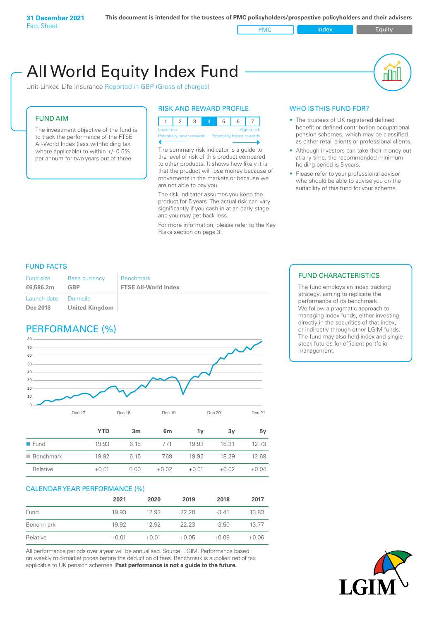PMC Index Index Equity

# All World Equity Index Fund

Unit-Linked Life Insurance Reported in GBP (Gross of charges)

### FUND AIM

The investment objective of the fund is to track the performance of the FTSE All-World Index (less withholding tax where applicable) to within +/- 0.5% per annum for two years out of three.

### RISK AND REWARD PROFILE



The summary risk indicator is a guide to the level of risk of this product compared to other products. It shows how likely it is that the product will lose money because of movements in the markets or because we are not able to pay you.

The risk indicator assumes you keep the product for 5 years. The actual risk can vary significantly if you cash in at an early stage and you may get back less.

For more information, please refer to the Key Risks section on page 3.

### WHO IS THIS FUND FOR?

- The trustees of UK registered defined benefit or defined contribution occupational pension schemes, which may be classified as either retail clients or professional clients.
- Although investors can take their money out at any time, the recommended minimum holding period is 5 years.
- Please refer to your professional advisor who should be able to advise you on the suitability of this fund for your scheme.

### FUND FACTS

| Fund size               | <b>Base currency</b>                     | <b>Benchmark</b>            |
|-------------------------|------------------------------------------|-----------------------------|
| £6,586,2m               | <b>GBP</b>                               | <b>FTSE All-World Index</b> |
| Launch date<br>Dec 2013 | <b>Domicile</b><br><b>United Kingdom</b> |                             |

### PERFORMANCE (%)



|                          | YTD     | 3 <sub>m</sub> | 6 <sub>m</sub> | 1v      | 3v      | 5v      |
|--------------------------|---------|----------------|----------------|---------|---------|---------|
| $\blacksquare$ Fund      | 19.93   | 6 15           | 771            | 19.93   | 18.31   | 12.73   |
| $\blacksquare$ Benchmark | 19.92   | 6.15           | 7.69           | 19.92   | 18.29   | 12.69   |
| Relative                 | $+0.01$ | 0.00           | $+0.02$        | $+0.01$ | $+0.02$ | $+0.04$ |

### CALENDAR YEAR PERFORMANCE (%)

|           | 2021    | 2020    | 2019    | 2018    | 2017    |
|-----------|---------|---------|---------|---------|---------|
| Fund      | 19.93   | 12.93   | 22.28   | $-3.41$ | 13.83   |
| Benchmark | 19.92   | 12.92   | 22.23   | $-3.50$ | 13.77   |
| Relative  | $+0.01$ | $+0.01$ | $+0.05$ | $+0.09$ | $+0.06$ |

All performance periods over a year will be annualised. Source: LGIM. Performance based on weekly mid-market prices before the deduction of fees. Benchmark is supplied net of tax applicable to UK pension schemes. **Past performance is not a guide to the future.**

### FUND CHARACTERISTICS

The fund employs an index tracking strategy, aiming to replicate the performance of its benchmark. We follow a pragmatic approach to managing index funds, either investing directly in the securities of that index, or indirectly through other LGIM funds. The fund may also hold index and single stock futures for efficient portfolio management.

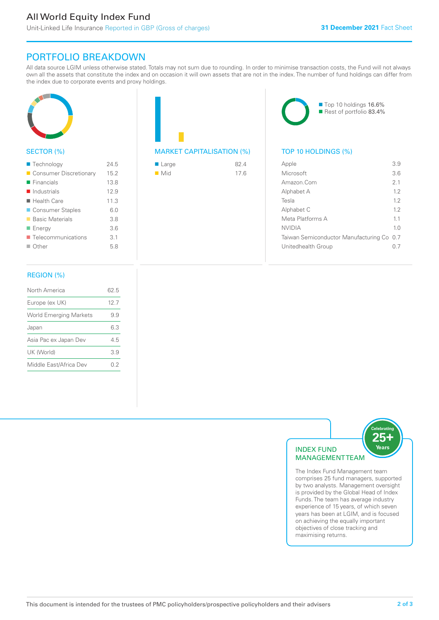### All World Equity Index Fund

Unit-Linked Life Insurance Reported in GBP (Gross of charges)

■ Top 10 holdings 16.6% Rest of portfolio 83.4%

## PORTFOLIO BREAKDOWN

All data source LGIM unless otherwise stated. Totals may not sum due to rounding. In order to minimise transaction costs, the Fund will not always own all the assets that constitute the index and on occasion it will own assets that are not in the index. The number of fund holdings can differ from the index due to corporate events and proxy holdings.



### SECTOR (%)

| ■ Technology               | 24.5 |
|----------------------------|------|
| Consumer Discretionary     | 15.2 |
| $\blacksquare$ Financials  | 13.8 |
| $\blacksquare$ Industrials | 12.9 |
| $\blacksquare$ Health Care | 11.3 |
| ■ Consumer Staples         | 6.0  |
| ■ Basic Materials          | 3.8  |
| ■ Energy                   | 3.6  |
| Telecommunications         | 3.1  |
| $\Box$ Other               | 5.8  |
|                            |      |

### MARKET CAPITALISATION (%) TOP 10 HOLDINGS (%)

| ■ Large            | 82.4 |
|--------------------|------|
| $\blacksquare$ Mid | 17.6 |

| Apple                                     | 39             |
|-------------------------------------------|----------------|
| Microsoft                                 | 3.6            |
| Amazon Com                                | 2 <sub>1</sub> |
| Alphabet A                                | 12             |
| Tesla                                     | 12             |
| Alphabet C                                | 12             |
| Meta Platforms A                          | 11             |
| NVIDIA                                    | 1 <sub>0</sub> |
| Taiwan Semiconductor Manufacturing Co 0.7 |                |
| Unitedhealth Group                        |                |
|                                           |                |

### REGION (%)

| North America                 | 62.5 |
|-------------------------------|------|
| Europe (ex UK)                | 127  |
| <b>World Emerging Markets</b> | 99   |
| Japan                         | 63   |
| Asia Pac ex Japan Dev         | 4.5  |
| UK (World)                    | 39   |
| Middle East/Africa Dev        | 02   |
|                               |      |



comprises 25 fund managers, supported by two analysts. Management oversight is provided by the Global Head of Index Funds. The team has average industry experience of 15 years, of which seven years has been at LGIM, and is focused on achieving the equally important objectives of close tracking and maximising returns.